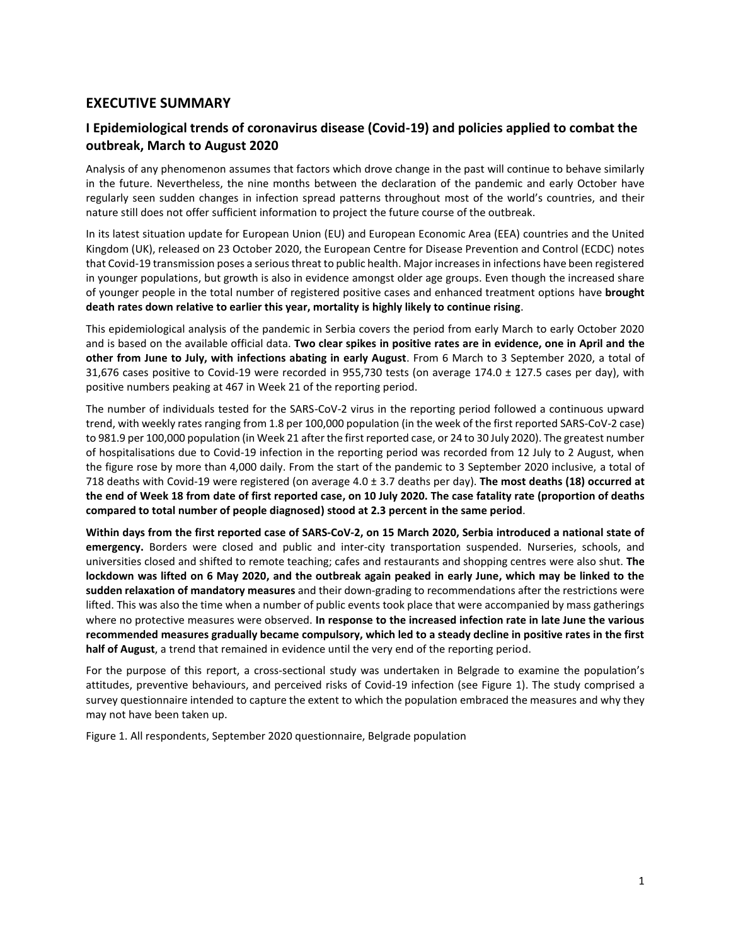## **EXECUTIVE SUMMARY**

# **I Epidemiological trends of coronavirus disease (Covid-19) and policies applied to combat the outbreak, March to August 2020**

Analysis of any phenomenon assumes that factors which drove change in the past will continue to behave similarly in the future. Nevertheless, the nine months between the declaration of the pandemic and early October have regularly seen sudden changes in infection spread patterns throughout most of the world's countries, and their nature still does not offer sufficient information to project the future course of the outbreak.

In its latest situation update for European Union (EU) and European Economic Area (EEA) countries and the United Kingdom (UK), released on 23 October 2020, the European Centre for Disease Prevention and Control (ECDC) notes that Covid-19 transmission poses a serious threat to public health. Major increases in infections have been registered in younger populations, but growth is also in evidence amongst older age groups. Even though the increased share of younger people in the total number of registered positive cases and enhanced treatment options have **brought death rates down relative to earlier this year, mortality is highly likely to continue rising**.

This epidemiological analysis of the pandemic in Serbia covers the period from early March to early October 2020 and is based on the available official data. **Two clear spikes in positive rates are in evidence, one in April and the other from June to July, with infections abating in early August**. From 6 March to 3 September 2020, a total of 31,676 cases positive to Covid-19 were recorded in 955,730 tests (on average 174.0 ± 127.5 cases per day), with positive numbers peaking at 467 in Week 21 of the reporting period.

The number of individuals tested for the SARS-CoV-2 virus in the reporting period followed a continuous upward trend, with weekly rates ranging from 1.8 per 100,000 population (in the week of the first reported SARS-CoV-2 case) to 981.9 per 100,000 population (in Week 21 after the first reported case, or 24 to 30 July 2020). The greatest number of hospitalisations due to Covid-19 infection in the reporting period was recorded from 12 July to 2 August, when the figure rose by more than 4,000 daily. From the start of the pandemic to 3 September 2020 inclusive, a total of 718 deaths with Covid-19 were registered (on average 4.0 ± 3.7 deaths per day). **The most deaths (18) occurred at the end of Week 18 from date of first reported case, on 10 July 2020. The case fatality rate (proportion of deaths compared to total number of people diagnosed) stood at 2.3 percent in the same period**.

**Within days from the first reported case of SARS-CoV-2, on 15 March 2020, Serbia introduced a national state of emergency.** Borders were closed and public and inter-city transportation suspended. Nurseries, schools, and universities closed and shifted to remote teaching; cafes and restaurants and shopping centres were also shut. **The lockdown was lifted on 6 May 2020, and the outbreak again peaked in early June, which may be linked to the sudden relaxation of mandatory measures** and their down-grading to recommendations after the restrictions were lifted. This was also the time when a number of public events took place that were accompanied by mass gatherings where no protective measures were observed. **In response to the increased infection rate in late June the various recommended measures gradually became compulsory, which led to a steady decline in positive rates in the first half of August**, a trend that remained in evidence until the very end of the reporting period.

For the purpose of this report, a cross-sectional study was undertaken in Belgrade to examine the population's attitudes, preventive behaviours, and perceived risks of Covid-19 infection (see Figure 1). The study comprised a survey questionnaire intended to capture the extent to which the population embraced the measures and why they may not have been taken up.

Figure 1. All respondents, September 2020 questionnaire, Belgrade population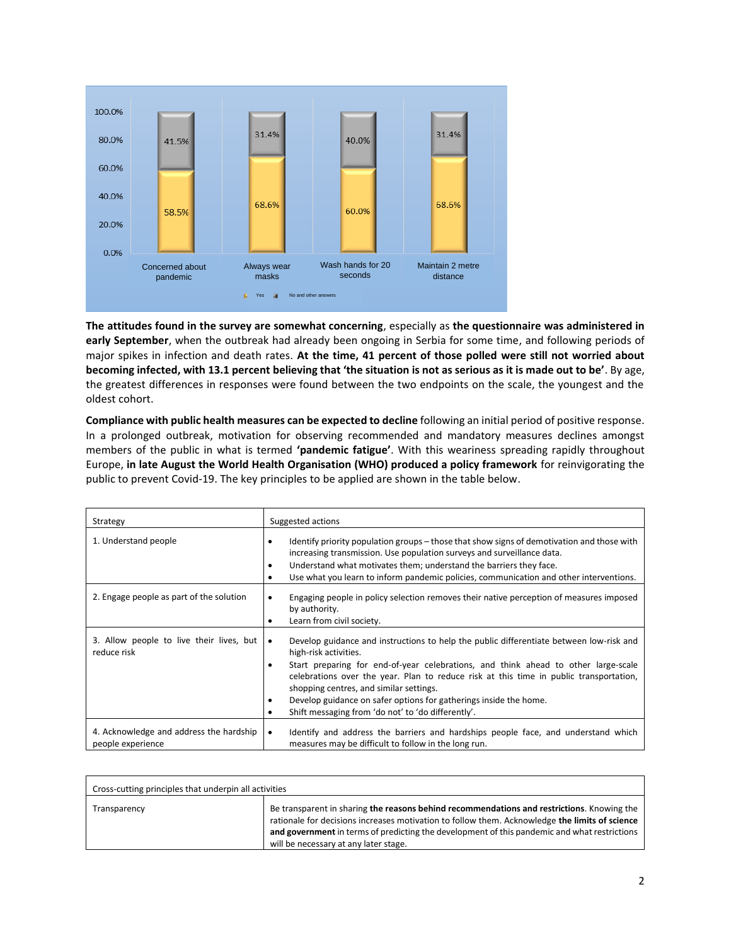

**The attitudes found in the survey are somewhat concerning**, especially as **the questionnaire was administered in early September**, when the outbreak had already been ongoing in Serbia for some time, and following periods of major spikes in infection and death rates. **At the time, 41 percent of those polled were still not worried about becoming infected, with 13.1 percent believing that 'the situation is not as serious as it is made out to be'**. By age, the greatest differences in responses were found between the two endpoints on the scale, the youngest and the oldest cohort.

**Compliance with public health measures can be expected to decline** following an initial period of positive response. In a prolonged outbreak, motivation for observing recommended and mandatory measures declines amongst members of the public in what is termed **'pandemic fatigue'**. With this weariness spreading rapidly throughout Europe, **in late August the World Health Organisation (WHO) produced a policy framework** for reinvigorating the public to prevent Covid-19. The key principles to be applied are shown in the table below.

| Strategy                                                     | Suggested actions                                                                                                                                                                                                                                                                                                                                                                                                                                                                                                  |  |  |
|--------------------------------------------------------------|--------------------------------------------------------------------------------------------------------------------------------------------------------------------------------------------------------------------------------------------------------------------------------------------------------------------------------------------------------------------------------------------------------------------------------------------------------------------------------------------------------------------|--|--|
| 1. Understand people                                         | Identify priority population groups – those that show signs of demotivation and those with<br>$\bullet$<br>increasing transmission. Use population surveys and surveillance data.<br>Understand what motivates them; understand the barriers they face.<br>$\bullet$<br>Use what you learn to inform pandemic policies, communication and other interventions.<br>$\bullet$                                                                                                                                        |  |  |
| 2. Engage people as part of the solution                     | Engaging people in policy selection removes their native perception of measures imposed<br>٠<br>by authority.<br>Learn from civil society.<br>٠                                                                                                                                                                                                                                                                                                                                                                    |  |  |
| 3. Allow people to live their lives, but<br>reduce risk      | Develop guidance and instructions to help the public differentiate between low-risk and<br>$\bullet$<br>high-risk activities.<br>Start preparing for end-of-year celebrations, and think ahead to other large-scale<br>٠<br>celebrations over the year. Plan to reduce risk at this time in public transportation,<br>shopping centres, and similar settings.<br>Develop guidance on safer options for gatherings inside the home.<br>$\bullet$<br>Shift messaging from 'do not' to 'do differently'.<br>$\bullet$ |  |  |
| 4. Acknowledge and address the hardship<br>people experience | Identify and address the barriers and hardships people face, and understand which<br>$\bullet$<br>measures may be difficult to follow in the long run.                                                                                                                                                                                                                                                                                                                                                             |  |  |

| Cross-cutting principles that underpin all activities |                                                                                                                                                                                                                                                                                                                                       |  |  |  |
|-------------------------------------------------------|---------------------------------------------------------------------------------------------------------------------------------------------------------------------------------------------------------------------------------------------------------------------------------------------------------------------------------------|--|--|--|
| Transparency                                          | Be transparent in sharing the reasons behind recommendations and restrictions. Knowing the<br>rationale for decisions increases motivation to follow them. Acknowledge the limits of science<br>and government in terms of predicting the development of this pandemic and what restrictions<br>will be necessary at any later stage. |  |  |  |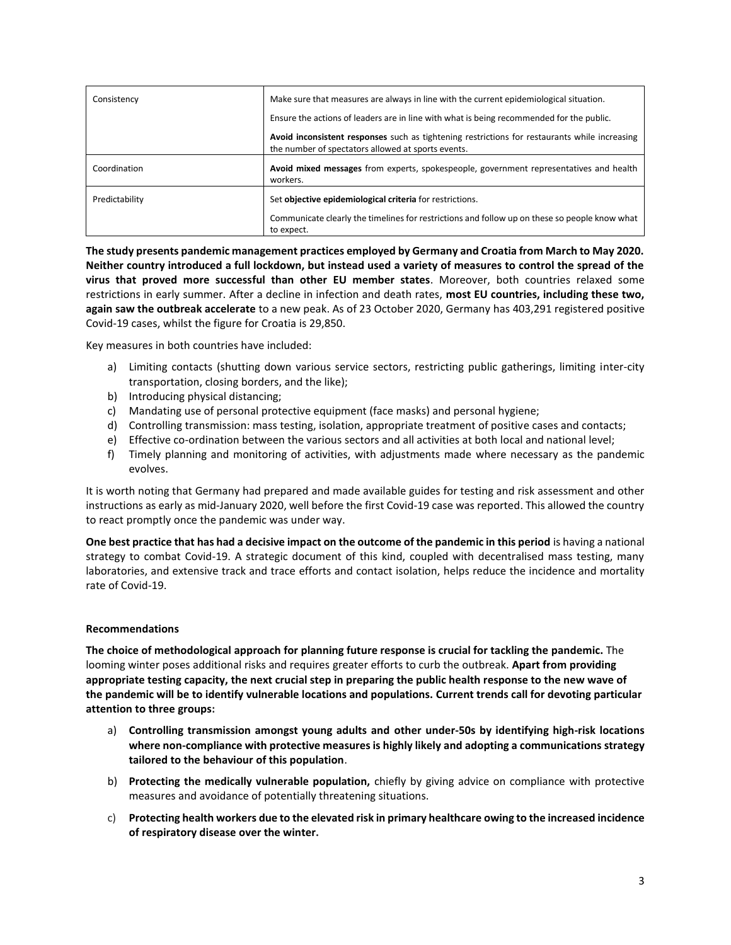| Consistency    | Make sure that measures are always in line with the current epidemiological situation.                                                              |  |  |
|----------------|-----------------------------------------------------------------------------------------------------------------------------------------------------|--|--|
|                | Ensure the actions of leaders are in line with what is being recommended for the public.                                                            |  |  |
|                | Avoid inconsistent responses such as tightening restrictions for restaurants while increasing<br>the number of spectators allowed at sports events. |  |  |
| Coordination   | Avoid mixed messages from experts, spokespeople, government representatives and health<br>workers.                                                  |  |  |
| Predictability | Set objective epidemiological criteria for restrictions.                                                                                            |  |  |
|                | Communicate clearly the timelines for restrictions and follow up on these so people know what<br>to expect.                                         |  |  |

**The study presents pandemic management practices employed by Germany and Croatia from March to May 2020. Neither country introduced a full lockdown, but instead used a variety of measures to control the spread of the virus that proved more successful than other EU member states**. Moreover, both countries relaxed some restrictions in early summer. After a decline in infection and death rates, **most EU countries, including these two, again saw the outbreak accelerate** to a new peak. As of 23 October 2020, Germany has 403,291 registered positive Covid-19 cases, whilst the figure for Croatia is 29,850.

Key measures in both countries have included:

- a) Limiting contacts (shutting down various service sectors, restricting public gatherings, limiting inter-city transportation, closing borders, and the like);
- b) Introducing physical distancing;
- c) Mandating use of personal protective equipment (face masks) and personal hygiene;
- d) Controlling transmission: mass testing, isolation, appropriate treatment of positive cases and contacts;
- e) Effective co-ordination between the various sectors and all activities at both local and national level;
- f) Timely planning and monitoring of activities, with adjustments made where necessary as the pandemic evolves.

It is worth noting that Germany had prepared and made available guides for testing and risk assessment and other instructions as early as mid-January 2020, well before the first Covid-19 case was reported. This allowed the country to react promptly once the pandemic was under way.

**One best practice that has had a decisive impact on the outcome of the pandemic in this period** is having a national strategy to combat Covid-19. A strategic document of this kind, coupled with decentralised mass testing, many laboratories, and extensive track and trace efforts and contact isolation, helps reduce the incidence and mortality rate of Covid-19.

### **Recommendations**

**The choice of methodological approach for planning future response is crucial for tackling the pandemic.** The looming winter poses additional risks and requires greater efforts to curb the outbreak. **Apart from providing appropriate testing capacity, the next crucial step in preparing the public health response to the new wave of the pandemic will be to identify vulnerable locations and populations. Current trends call for devoting particular attention to three groups:**

- a) **Controlling transmission amongst young adults and other under-50s by identifying high-risk locations where non-compliance with protective measures is highly likely and adopting a communications strategy tailored to the behaviour of this population**.
- b) **Protecting the medically vulnerable population,** chiefly by giving advice on compliance with protective measures and avoidance of potentially threatening situations.
- c) **Protecting health workers due to the elevated risk in primary healthcare owing to the increased incidence of respiratory disease over the winter.**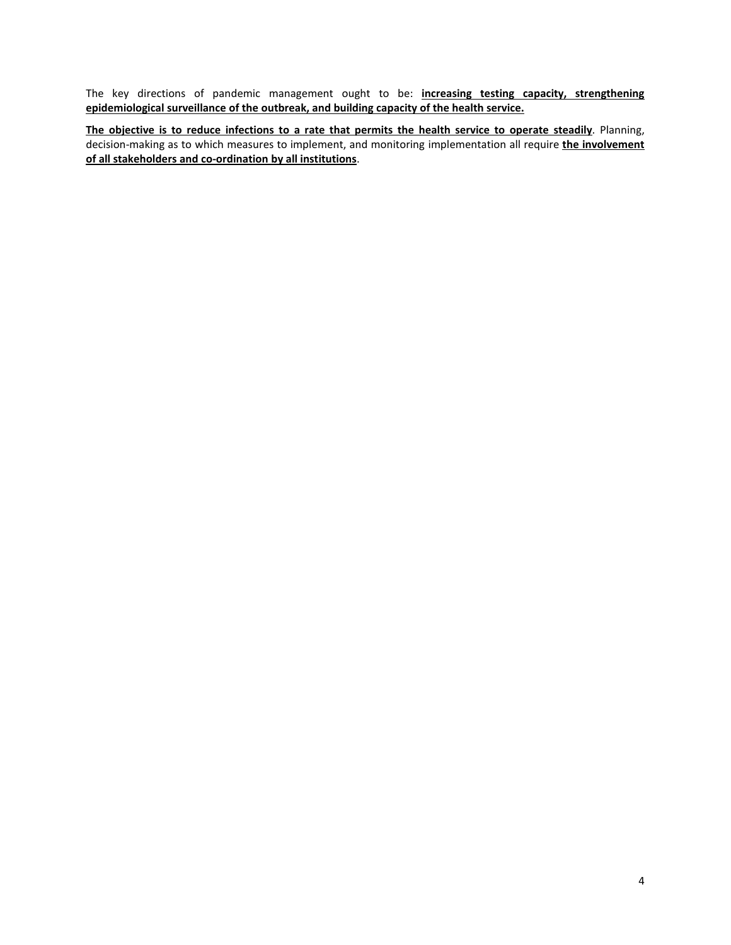The key directions of pandemic management ought to be: **increasing testing capacity, strengthening epidemiological surveillance of the outbreak, and building capacity of the health service.** 

**The objective is to reduce infections to a rate that permits the health service to operate steadily**. Planning, decision-making as to which measures to implement, and monitoring implementation all require **the involvement of all stakeholders and co-ordination by all institutions**.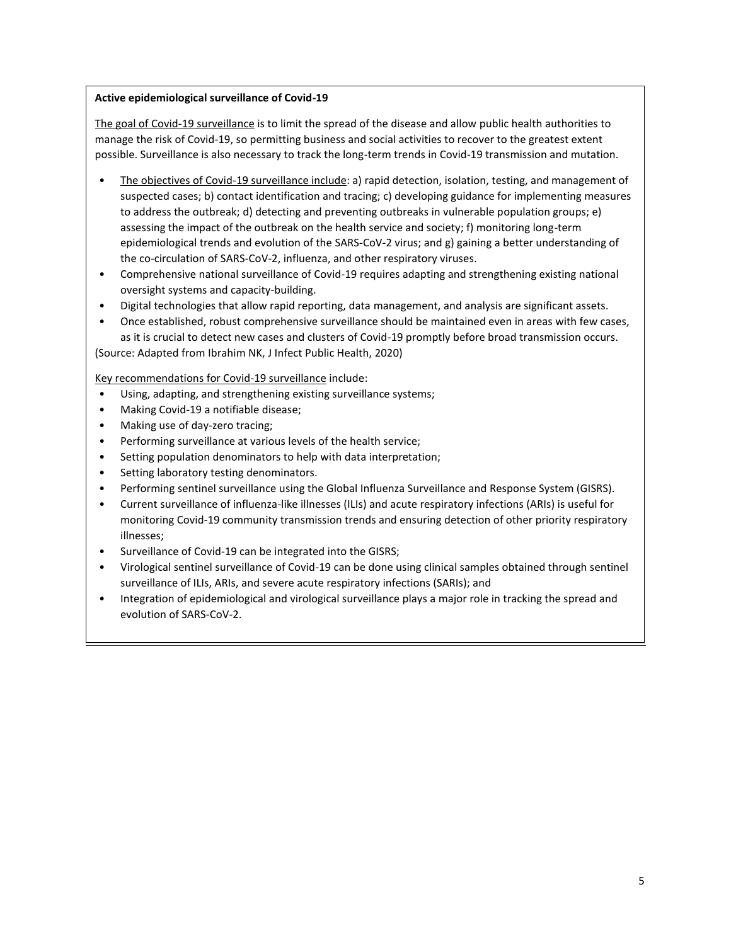### **Active epidemiological surveillance of Covid-19**

The goal of Covid-19 surveillance is to limit the spread of the disease and allow public health authorities to manage the risk of Covid-19, so permitting business and social activities to recover to the greatest extent possible. Surveillance is also necessary to track the long-term trends in Covid-19 transmission and mutation.

- The objectives of Covid-19 surveillance include: a) rapid detection, isolation, testing, and management of suspected cases; b) contact identification and tracing; c) developing guidance for implementing measures to address the outbreak; d) detecting and preventing outbreaks in vulnerable population groups; e) assessing the impact of the outbreak on the health service and society; f) monitoring long-term epidemiological trends and evolution of the SARS-CoV-2 virus; and g) gaining a better understanding of the co-circulation of SARS-CoV-2, influenza, and other respiratory viruses.
- Comprehensive national surveillance of Covid-19 requires adapting and strengthening existing national oversight systems and capacity-building.
- Digital technologies that allow rapid reporting, data management, and analysis are significant assets.
- Once established, robust comprehensive surveillance should be maintained even in areas with few cases, as it is crucial to detect new cases and clusters of Covid-19 promptly before broad transmission occurs.

(Source: Adapted from Ibrahim NK, J Infect Public Health, 2020)

Key recommendations for Covid-19 surveillance include:

- Using, adapting, and strengthening existing surveillance systems;
- Making Covid-19 a notifiable disease;
- Making use of day-zero tracing;
- Performing surveillance at various levels of the health service;
- Setting population denominators to help with data interpretation;
- Setting laboratory testing denominators.
- Performing sentinel surveillance using the Global Influenza Surveillance and Response System (GISRS).
- Current surveillance of influenza-like illnesses (ILIs) and acute respiratory infections (ARIs) is useful for monitoring Covid-19 community transmission trends and ensuring detection of other priority respiratory illnesses;
- Surveillance of Covid-19 can be integrated into the GISRS;
- Virological sentinel surveillance of Covid-19 can be done using clinical samples obtained through sentinel surveillance of ILIs, ARIs, and severe acute respiratory infections (SARIs); and
- Integration of epidemiological and virological surveillance plays a major role in tracking the spread and evolution of SARS-CoV-2.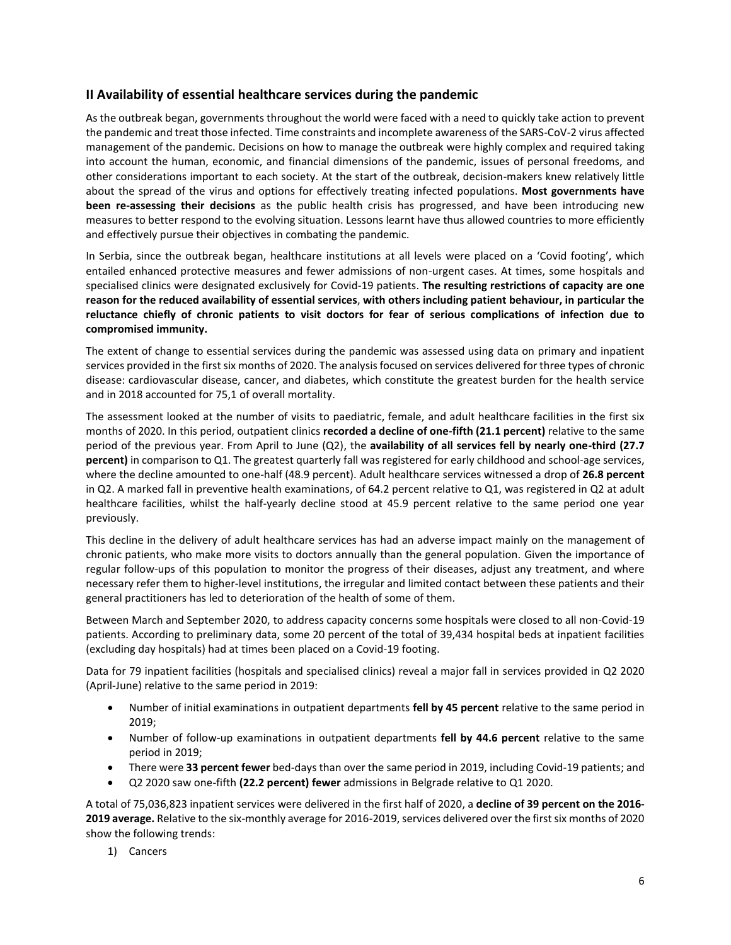## **II Availability of essential healthcare services during the pandemic**

As the outbreak began, governments throughout the world were faced with a need to quickly take action to prevent the pandemic and treat those infected. Time constraints and incomplete awareness of the SARS-CoV-2 virus affected management of the pandemic. Decisions on how to manage the outbreak were highly complex and required taking into account the human, economic, and financial dimensions of the pandemic, issues of personal freedoms, and other considerations important to each society. At the start of the outbreak, decision-makers knew relatively little about the spread of the virus and options for effectively treating infected populations. **Most governments have been re-assessing their decisions** as the public health crisis has progressed, and have been introducing new measures to better respond to the evolving situation. Lessons learnt have thus allowed countries to more efficiently and effectively pursue their objectives in combating the pandemic.

In Serbia, since the outbreak began, healthcare institutions at all levels were placed on a 'Covid footing', which entailed enhanced protective measures and fewer admissions of non-urgent cases. At times, some hospitals and specialised clinics were designated exclusively for Covid-19 patients. **The resulting restrictions of capacity are one reason for the reduced availability of essential services**, **with others including patient behaviour, in particular the reluctance chiefly of chronic patients to visit doctors for fear of serious complications of infection due to compromised immunity.**

The extent of change to essential services during the pandemic was assessed using data on primary and inpatient services provided in the first six months of 2020. The analysis focused on services delivered for three types of chronic disease: cardiovascular disease, cancer, and diabetes, which constitute the greatest burden for the health service and in 2018 accounted for 75,1 of overall mortality.

The assessment looked at the number of visits to paediatric, female, and adult healthcare facilities in the first six months of 2020. In this period, outpatient clinics **recorded a decline of one-fifth (21.1 percent)** relative to the same period of the previous year. From April to June (Q2), the **availability of all services fell by nearly one-third (27.7 percent)** in comparison to Q1. The greatest quarterly fall was registered for early childhood and school-age services, where the decline amounted to one-half (48.9 percent). Adult healthcare services witnessed a drop of **26.8 percent**  in Q2. A marked fall in preventive health examinations, of 64.2 percent relative to Q1, was registered in Q2 at adult healthcare facilities, whilst the half-yearly decline stood at 45.9 percent relative to the same period one year previously.

This decline in the delivery of adult healthcare services has had an adverse impact mainly on the management of chronic patients, who make more visits to doctors annually than the general population. Given the importance of regular follow-ups of this population to monitor the progress of their diseases, adjust any treatment, and where necessary refer them to higher-level institutions, the irregular and limited contact between these patients and their general practitioners has led to deterioration of the health of some of them.

Between March and September 2020, to address capacity concerns some hospitals were closed to all non-Covid-19 patients. According to preliminary data, some 20 percent of the total of 39,434 hospital beds at inpatient facilities (excluding day hospitals) had at times been placed on a Covid-19 footing.

Data for 79 inpatient facilities (hospitals and specialised clinics) reveal a major fall in services provided in Q2 2020 (April-June) relative to the same period in 2019:

- Number of initial examinations in outpatient departments **fell by 45 percent** relative to the same period in 2019;
- Number of follow-up examinations in outpatient departments **fell by 44.6 percent** relative to the same period in 2019;
- There were **33 percent fewer** bed-days than over the same period in 2019, including Covid-19 patients; and
- Q2 2020 saw one-fifth **(22.2 percent) fewer** admissions in Belgrade relative to Q1 2020.

A total of 75,036,823 inpatient services were delivered in the first half of 2020, a **decline of 39 percent on the 2016- 2019 average.** Relative to the six-monthly average for 2016-2019, services delivered over the first six months of 2020 show the following trends:

1) Cancers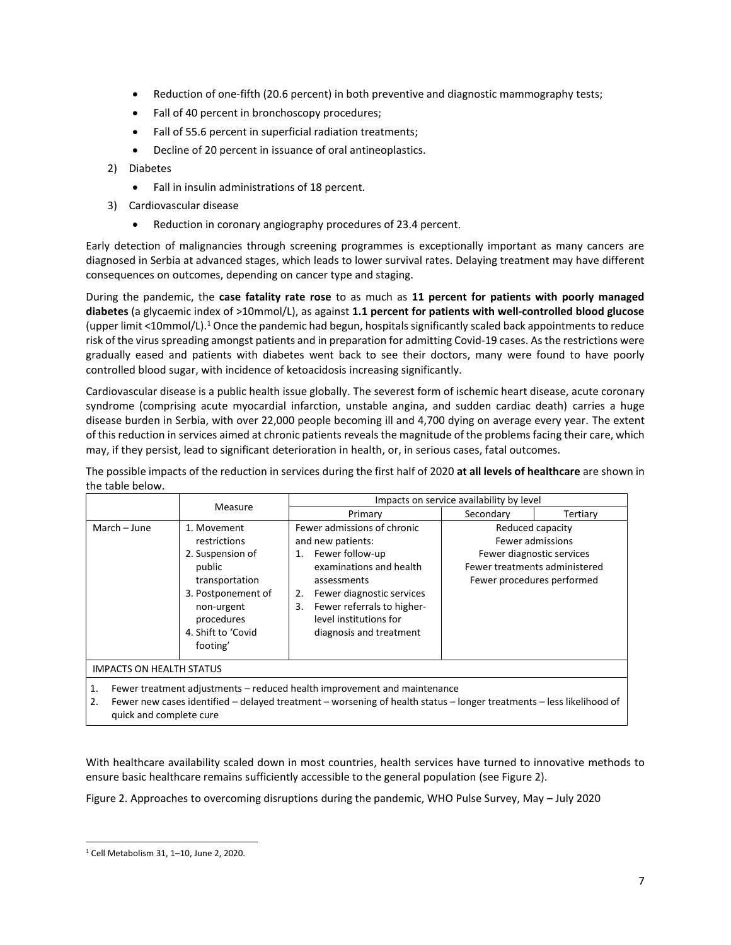- Reduction of one-fifth (20.6 percent) in both preventive and diagnostic mammography tests;
- Fall of 40 percent in bronchoscopy procedures;
- Fall of 55.6 percent in superficial radiation treatments;
- Decline of 20 percent in issuance of oral antineoplastics.
- 2) Diabetes
	- Fall in insulin administrations of 18 percent.
- 3) Cardiovascular disease
	- Reduction in coronary angiography procedures of 23.4 percent.

Early detection of malignancies through screening programmes is exceptionally important as many cancers are diagnosed in Serbia at advanced stages, which leads to lower survival rates. Delaying treatment may have different consequences on outcomes, depending on cancer type and staging.

During the pandemic, the **case fatality rate rose** to as much as **11 percent for patients with poorly managed diabetes** (a glycaemic index of >10mmol/L), as against **1.1 percent for patients with well-controlled blood glucose** (upper limit <10mmol/L).<sup>1</sup> Once the pandemic had begun, hospitals significantly scaled back appointments to reduce risk of the virus spreading amongst patients and in preparation for admitting Covid-19 cases. As the restrictions were gradually eased and patients with diabetes went back to see their doctors, many were found to have poorly controlled blood sugar, with incidence of ketoacidosis increasing significantly.

Cardiovascular disease is a public health issue globally. The severest form of ischemic heart disease, acute coronary syndrome (comprising acute myocardial infarction, unstable angina, and sudden cardiac death) carries a huge disease burden in Serbia, with over 22,000 people becoming ill and 4,700 dying on average every year. The extent of this reduction in services aimed at chronic patients reveals the magnitude of the problems facing their care, which may, if they persist, lead to significant deterioration in health, or, in serious cases, fatal outcomes.

The possible impacts of the reduction in services during the first half of 2020 **at all levels of healthcare** are shown in the table below.

|                                 |                                                                                                                                                                 | Impacts on service availability by level                                                                                                                                                                                                                                                                                                                                            |           |          |
|---------------------------------|-----------------------------------------------------------------------------------------------------------------------------------------------------------------|-------------------------------------------------------------------------------------------------------------------------------------------------------------------------------------------------------------------------------------------------------------------------------------------------------------------------------------------------------------------------------------|-----------|----------|
|                                 | Measure                                                                                                                                                         | Primary                                                                                                                                                                                                                                                                                                                                                                             | Secondary | Tertiary |
| March - June                    | 1. Movement<br>restrictions<br>2. Suspension of<br>public<br>transportation<br>3. Postponement of<br>non-urgent<br>procedures<br>4. Shift to 'Covid<br>footing' | Fewer admissions of chronic<br>Reduced capacity<br>Fewer admissions<br>and new patients:<br>Fewer follow-up<br>Fewer diagnostic services<br>1.<br>examinations and health<br>Fewer treatments administered<br>Fewer procedures performed<br>assessments<br>Fewer diagnostic services<br>2.<br>Fewer referrals to higher-<br>3.<br>level institutions for<br>diagnosis and treatment |           |          |
| <b>IMPACTS ON HEALTH STATUS</b> |                                                                                                                                                                 |                                                                                                                                                                                                                                                                                                                                                                                     |           |          |
| 1.<br>ີ                         |                                                                                                                                                                 | Fewer treatment adjustments – reduced health improvement and maintenance<br>Fewer new cases identified – delayed treatment – wersening of health status – longer treatments – less likelihood of                                                                                                                                                                                    |           |          |

er new cases identified – delayed treatment – worsening of health status – longer treatments – less likelihoo quick and complete cure

With healthcare availability scaled down in most countries, health services have turned to innovative methods to ensure basic healthcare remains sufficiently accessible to the general population (see Figure 2).

Figure 2. Approaches to overcoming disruptions during the pandemic, WHO Pulse Survey, May – July 2020

<sup>1</sup> Cell Metabolism 31, 1–10, June 2, 2020.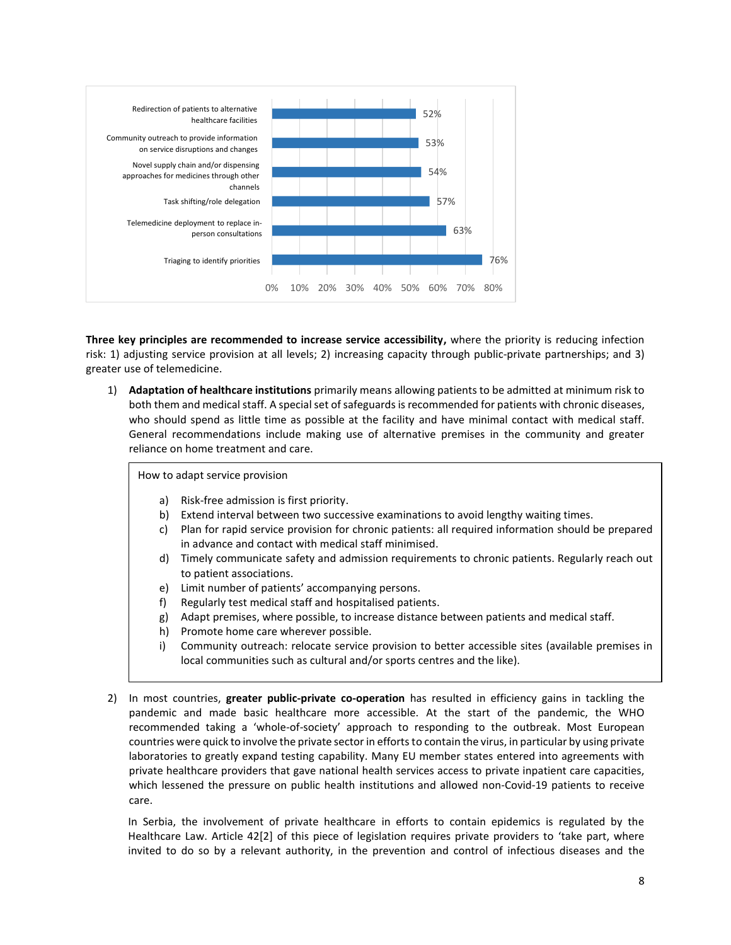

**Three key principles are recommended to increase service accessibility,** where the priority is reducing infection risk: 1) adjusting service provision at all levels; 2) increasing capacity through public-private partnerships; and 3) greater use of telemedicine.

1) **Adaptation of healthcare institutions** primarily means allowing patients to be admitted at minimum risk to both them and medical staff. A special set of safeguards is recommended for patients with chronic diseases, who should spend as little time as possible at the facility and have minimal contact with medical staff. General recommendations include making use of alternative premises in the community and greater reliance on home treatment and care.

How to adapt service provision

- a) Risk-free admission is first priority.
- b) Extend interval between two successive examinations to avoid lengthy waiting times.
- c) Plan for rapid service provision for chronic patients: all required information should be prepared in advance and contact with medical staff minimised.
- d) Timely communicate safety and admission requirements to chronic patients. Regularly reach out to patient associations.
- e) Limit number of patients' accompanying persons.
- f) Regularly test medical staff and hospitalised patients.
- g) Adapt premises, where possible, to increase distance between patients and medical staff.
- h) Promote home care wherever possible.
- i) Community outreach: relocate service provision to better accessible sites (available premises in local communities such as cultural and/or sports centres and the like).
- 2) In most countries, **greater public-private co-operation** has resulted in efficiency gains in tackling the pandemic and made basic healthcare more accessible. At the start of the pandemic, the WHO recommended taking a 'whole-of-society' approach to responding to the outbreak. Most European countries were quick to involve the private sector in efforts to contain the virus, in particular by using private laboratories to greatly expand testing capability. Many EU member states entered into agreements with private healthcare providers that gave national health services access to private inpatient care capacities, which lessened the pressure on public health institutions and allowed non-Covid-19 patients to receive care.

In Serbia, the involvement of private healthcare in efforts to contain epidemics is regulated by the Healthcare Law. Article 42[2] of this piece of legislation requires private providers to 'take part, where invited to do so by a relevant authority, in the prevention and control of infectious diseases and the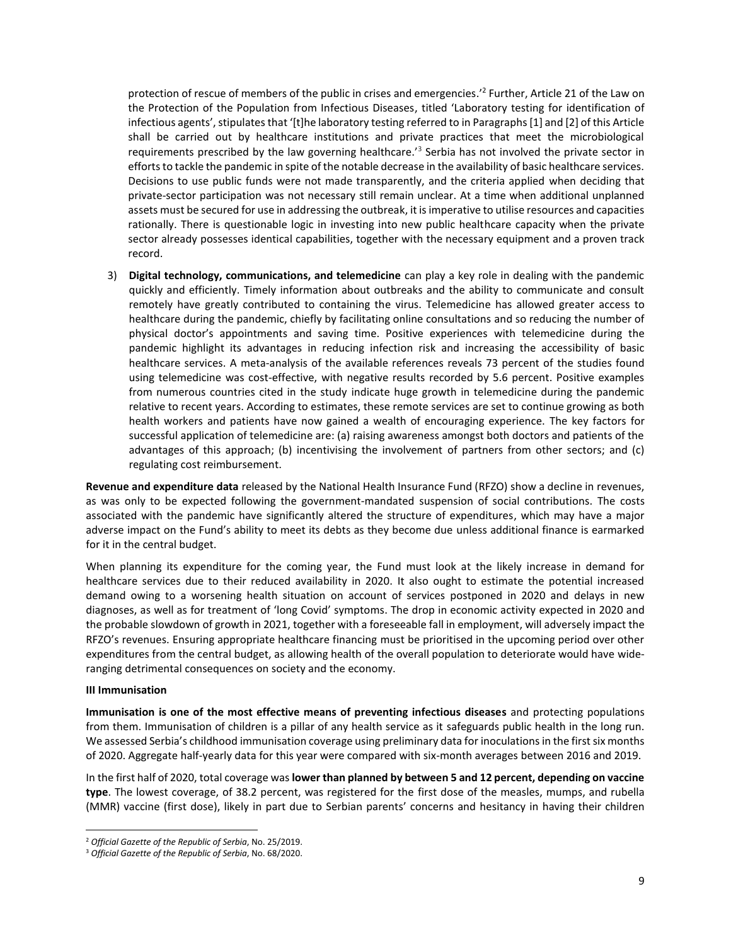protection of rescue of members of the public in crises and emergencies.' 2 Further, Article 21 of the Law on the Protection of the Population from Infectious Diseases, titled 'Laboratory testing for identification of infectious agents', stipulates that '[t]he laboratory testing referred to in Paragraphs [1] and [2] of this Article shall be carried out by healthcare institutions and private practices that meet the microbiological requirements prescribed by the law governing healthcare.<sup>'3</sup> Serbia has not involved the private sector in efforts to tackle the pandemic in spite of the notable decrease in the availability of basic healthcare services. Decisions to use public funds were not made transparently, and the criteria applied when deciding that private-sector participation was not necessary still remain unclear. At a time when additional unplanned assets must be secured for use in addressing the outbreak, it is imperative to utilise resources and capacities rationally. There is questionable logic in investing into new public healthcare capacity when the private sector already possesses identical capabilities, together with the necessary equipment and a proven track record.

3) **Digital technology, communications, and telemedicine** can play a key role in dealing with the pandemic quickly and efficiently. Timely information about outbreaks and the ability to communicate and consult remotely have greatly contributed to containing the virus. Telemedicine has allowed greater access to healthcare during the pandemic, chiefly by facilitating online consultations and so reducing the number of physical doctor's appointments and saving time. Positive experiences with telemedicine during the pandemic highlight its advantages in reducing infection risk and increasing the accessibility of basic healthcare services. A meta-analysis of the available references reveals 73 percent of the studies found using telemedicine was cost-effective, with negative results recorded by 5.6 percent. Positive examples from numerous countries cited in the study indicate huge growth in telemedicine during the pandemic relative to recent years. According to estimates, these remote services are set to continue growing as both health workers and patients have now gained a wealth of encouraging experience. The key factors for successful application of telemedicine are: (a) raising awareness amongst both doctors and patients of the advantages of this approach; (b) incentivising the involvement of partners from other sectors; and (c) regulating cost reimbursement.

**Revenue and expenditure data** released by the National Health Insurance Fund (RFZO) show a decline in revenues, as was only to be expected following the government-mandated suspension of social contributions. The costs associated with the pandemic have significantly altered the structure of expenditures, which may have a major adverse impact on the Fund's ability to meet its debts as they become due unless additional finance is earmarked for it in the central budget.

When planning its expenditure for the coming year, the Fund must look at the likely increase in demand for healthcare services due to their reduced availability in 2020. It also ought to estimate the potential increased demand owing to a worsening health situation on account of services postponed in 2020 and delays in new diagnoses, as well as for treatment of 'long Covid' symptoms. The drop in economic activity expected in 2020 and the probable slowdown of growth in 2021, together with a foreseeable fall in employment, will adversely impact the RFZO's revenues. Ensuring appropriate healthcare financing must be prioritised in the upcoming period over other expenditures from the central budget, as allowing health of the overall population to deteriorate would have wideranging detrimental consequences on society and the economy.

#### **III Immunisation**

**Immunisation is one of the most effective means of preventing infectious diseases** and protecting populations from them. Immunisation of children is a pillar of any health service as it safeguards public health in the long run. We assessed Serbia's childhood immunisation coverage using preliminary data for inoculations in the first six months of 2020. Aggregate half-yearly data for this year were compared with six-month averages between 2016 and 2019.

In the first half of 2020, total coverage was **lower than planned by between 5 and 12 percent, depending on vaccine type**. The lowest coverage, of 38.2 percent, was registered for the first dose of the measles, mumps, and rubella (MMR) vaccine (first dose), likely in part due to Serbian parents' concerns and hesitancy in having their children

<sup>2</sup> *Official Gazette of the Republic of Serbia*, No. 25/2019.

<sup>3</sup> *Official Gazette of the Republic of Serbia*, No. 68/2020.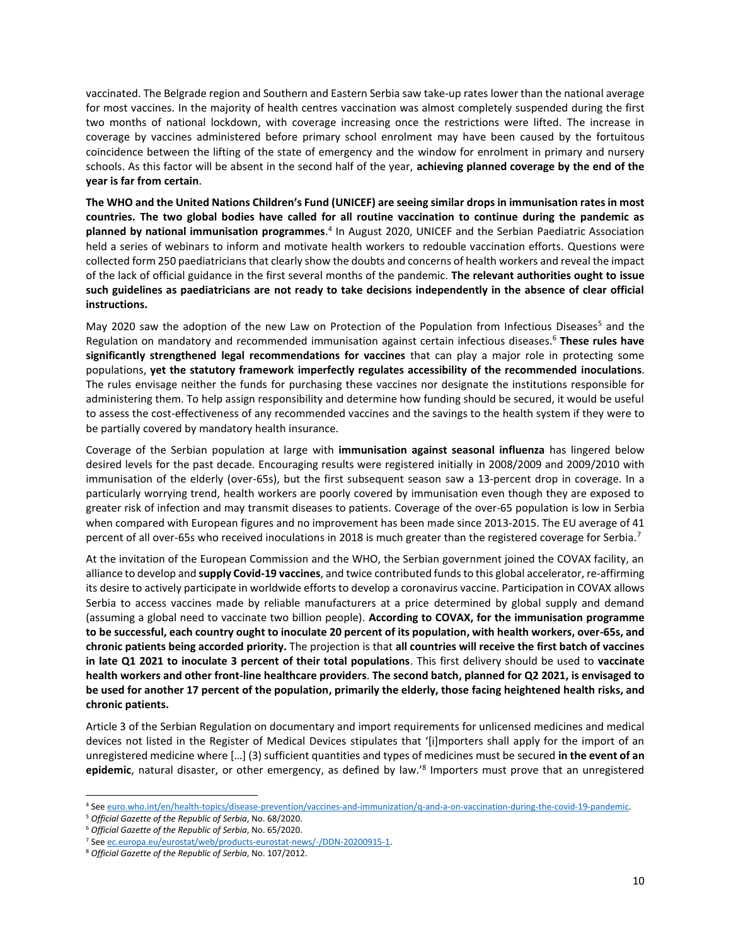vaccinated. The Belgrade region and Southern and Eastern Serbia saw take-up rates lower than the national average for most vaccines. In the majority of health centres vaccination was almost completely suspended during the first two months of national lockdown, with coverage increasing once the restrictions were lifted. The increase in coverage by vaccines administered before primary school enrolment may have been caused by the fortuitous coincidence between the lifting of the state of emergency and the window for enrolment in primary and nursery schools. As this factor will be absent in the second half of the year, **achieving planned coverage by the end of the year is far from certain**.

**The WHO and the United Nations Children's Fund (UNICEF) are seeing similar drops in immunisation rates in most countries. The two global bodies have called for all routine vaccination to continue during the pandemic as planned by national immunisation programmes**. 4 In August 2020, UNICEF and the Serbian Paediatric Association held a series of webinars to inform and motivate health workers to redouble vaccination efforts. Questions were collected form 250 paediatricians that clearly show the doubts and concerns of health workers and reveal the impact of the lack of official guidance in the first several months of the pandemic. **The relevant authorities ought to issue such guidelines as paediatricians are not ready to take decisions independently in the absence of clear official instructions.**

May 2020 saw the adoption of the new Law on Protection of the Population from Infectious Diseases<sup>5</sup> and the Regulation on mandatory and recommended immunisation against certain infectious diseases.<sup>6</sup> **These rules have significantly strengthened legal recommendations for vaccines** that can play a major role in protecting some populations, **yet the statutory framework imperfectly regulates accessibility of the recommended inoculations**. The rules envisage neither the funds for purchasing these vaccines nor designate the institutions responsible for administering them. To help assign responsibility and determine how funding should be secured, it would be useful to assess the cost-effectiveness of any recommended vaccines and the savings to the health system if they were to be partially covered by mandatory health insurance.

Coverage of the Serbian population at large with **immunisation against seasonal influenza** has lingered below desired levels for the past decade. Encouraging results were registered initially in 2008/2009 and 2009/2010 with immunisation of the elderly (over-65s), but the first subsequent season saw a 13-percent drop in coverage. In a particularly worrying trend, health workers are poorly covered by immunisation even though they are exposed to greater risk of infection and may transmit diseases to patients. Coverage of the over-65 population is low in Serbia when compared with European figures and no improvement has been made since 2013-2015. The EU average of 41 percent of all over-65s who received inoculations in 2018 is much greater than the registered coverage for Serbia.<sup>7</sup>

At the invitation of the European Commission and the WHO, the Serbian government joined the COVAX facility, an alliance to develop and **supply Covid-19 vaccines**, and twice contributed funds to this global accelerator, re-affirming its desire to actively participate in worldwide efforts to develop a coronavirus vaccine. Participation in COVAX allows Serbia to access vaccines made by reliable manufacturers at a price determined by global supply and demand (assuming a global need to vaccinate two billion people). **According to COVAX, for the immunisation programme to be successful, each country ought to inoculate 20 percent of its population, with health workers, over-65s, and chronic patients being accorded priority.** The projection is that **all countries will receive the first batch of vaccines in late Q1 2021 to inoculate 3 percent of their total populations**. This first delivery should be used to **vaccinate health workers and other front-line healthcare providers**. **The second batch, planned for Q2 2021, is envisaged to be used for another 17 percent of the population, primarily the elderly, those facing heightened health risks, and chronic patients.**

Article 3 of the Serbian Regulation on documentary and import requirements for unlicensed medicines and medical devices not listed in the Register of Medical Devices stipulates that '[i]mporters shall apply for the import of an unregistered medicine where […] (3) sufficient quantities and types of medicines must be secured **in the event of an**  epidemic, natural disaster, or other emergency, as defined by law.<sup>'8</sup> Importers must prove that an unregistered

<sup>4</sup> Se[e euro.who.int/en/health-topics/disease-prevention/vaccines-and-immunization/q-and-a-on-vaccination-during-the-covid-19-pandemic.](https://www.euro.who.int/en/health-topics/disease-prevention/vaccines-and-immunization/q-and-a-on-vaccination-during-the-covid-19-pandemic)

<sup>5</sup> *Official Gazette of the Republic of Serbia*, No. 68/2020.

<sup>6</sup> *Official Gazette of the Republic of Serbia*, No. 65/2020.

<sup>7</sup> Se[e ec.europa.eu/eurostat/web/products-eurostat-news/-/DDN-20200915-1.](https://ec.europa.eu/eurostat/web/products-eurostat-news/-/DDN-20200915-1)

<sup>8</sup> *Official Gazette of the Republic of Serbia*, No. 107/2012.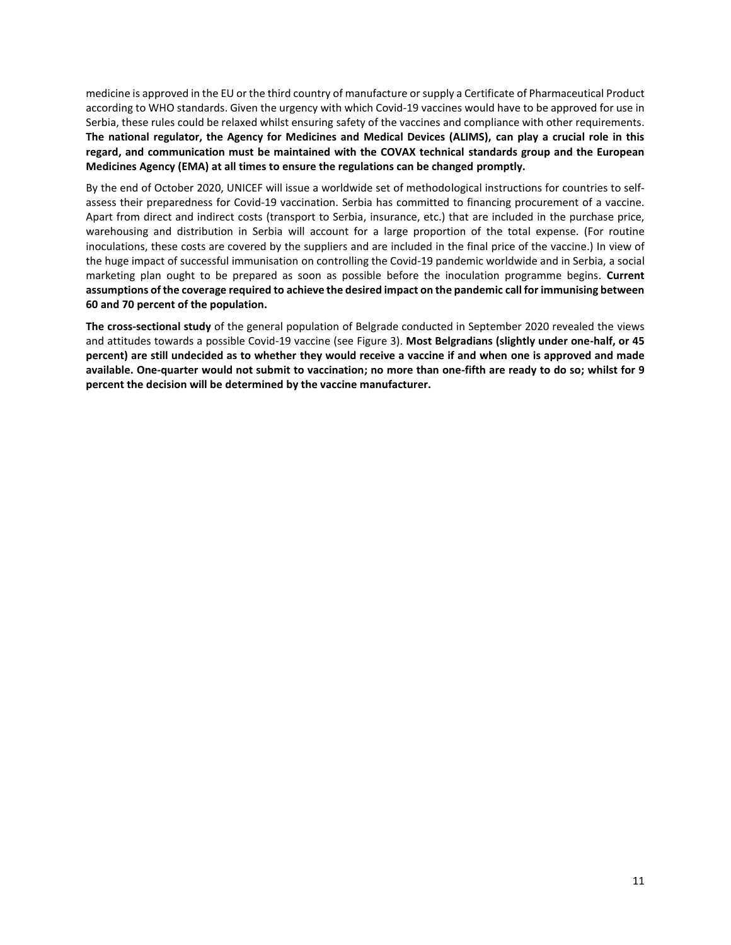medicine is approved in the EU or the third country of manufacture or supply a Certificate of Pharmaceutical Product according to WHO standards. Given the urgency with which Covid-19 vaccines would have to be approved for use in Serbia, these rules could be relaxed whilst ensuring safety of the vaccines and compliance with other requirements. **The national regulator, the Agency for Medicines and Medical Devices (ALIMS), can play a crucial role in this regard, and communication must be maintained with the COVAX technical standards group and the European Medicines Agency (EMA) at all times to ensure the regulations can be changed promptly.**

By the end of October 2020, UNICEF will issue a worldwide set of methodological instructions for countries to selfassess their preparedness for Covid-19 vaccination. Serbia has committed to financing procurement of a vaccine. Apart from direct and indirect costs (transport to Serbia, insurance, etc.) that are included in the purchase price, warehousing and distribution in Serbia will account for a large proportion of the total expense. (For routine inoculations, these costs are covered by the suppliers and are included in the final price of the vaccine.) In view of the huge impact of successful immunisation on controlling the Covid-19 pandemic worldwide and in Serbia, a social marketing plan ought to be prepared as soon as possible before the inoculation programme begins. **Current assumptions of the coverage required to achieve the desired impact on the pandemic call for immunising between 60 and 70 percent of the population.**

**The cross-sectional study** of the general population of Belgrade conducted in September 2020 revealed the views and attitudes towards a possible Covid-19 vaccine (see Figure 3). **Most Belgradians (slightly under one-half, or 45 percent) are still undecided as to whether they would receive a vaccine if and when one is approved and made available. One-quarter would not submit to vaccination; no more than one-fifth are ready to do so; whilst for 9 percent the decision will be determined by the vaccine manufacturer.**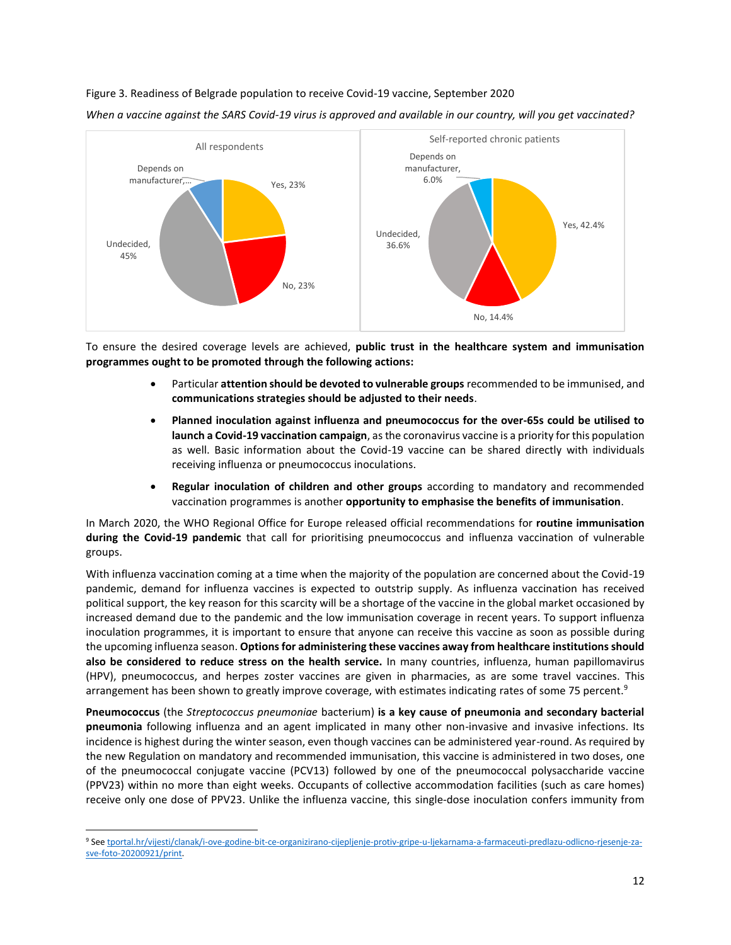#### Figure 3. Readiness of Belgrade population to receive Covid-19 vaccine, September 2020



*When a vaccine against the SARS Covid-19 virus is approved and available in our country, will you get vaccinated?*

To ensure the desired coverage levels are achieved, **public trust in the healthcare system and immunisation programmes ought to be promoted through the following actions:**

- Particular **attention should be devoted to vulnerable groups** recommended to be immunised, and **communications strategies should be adjusted to their needs**.
- **Planned inoculation against influenza and pneumococcus for the over-65s could be utilised to launch a Covid-19 vaccination campaign**, as the coronavirus vaccine is a priority for this population as well. Basic information about the Covid-19 vaccine can be shared directly with individuals receiving influenza or pneumococcus inoculations.
- **Regular inoculation of children and other groups** according to mandatory and recommended vaccination programmes is another **opportunity to emphasise the benefits of immunisation**.

In March 2020, the WHO Regional Office for Europe released official recommendations for **routine immunisation during the Covid-19 pandemic** that call for prioritising pneumococcus and influenza vaccination of vulnerable groups.

With influenza vaccination coming at a time when the majority of the population are concerned about the Covid-19 pandemic, demand for influenza vaccines is expected to outstrip supply. As influenza vaccination has received political support, the key reason for this scarcity will be a shortage of the vaccine in the global market occasioned by increased demand due to the pandemic and the low immunisation coverage in recent years. To support influenza inoculation programmes, it is important to ensure that anyone can receive this vaccine as soon as possible during the upcoming influenza season. **Options for administering these vaccines away from healthcare institutions should also be considered to reduce stress on the health service.** In many countries, influenza, human papillomavirus (HPV), pneumococcus, and herpes zoster vaccines are given in pharmacies, as are some travel vaccines. This arrangement has been shown to greatly improve coverage, with estimates indicating rates of some 75 percent.<sup>9</sup>

**Pneumococcus** (the *Streptococcus pneumoniae* bacterium) **is a key cause of pneumonia and secondary bacterial pneumonia** following influenza and an agent implicated in many other non-invasive and invasive infections. Its incidence is highest during the winter season, even though vaccines can be administered year-round. As required by the new Regulation on mandatory and recommended immunisation, this vaccine is administered in two doses, one of the pneumococcal conjugate vaccine (PCV13) followed by one of the pneumococcal polysaccharide vaccine (PPV23) within no more than eight weeks. Occupants of collective accommodation facilities (such as care homes) receive only one dose of PPV23. Unlike the influenza vaccine, this single-dose inoculation confers immunity from

<sup>9</sup> Se[e tportal.hr/vijesti/clanak/i-ove-godine-bit-ce-organizirano-cijepljenje-protiv-gripe-u-ljekarnama-a-farmaceuti-predlazu-odlicno-rjesenje-za](https://www.tportal.hr/vijesti/clanak/i-ove-godine-bit-ce-organizirano-cijepljenje-protiv-gripe-u-ljekarnama-a-farmaceuti-predlazu-odlicno-rjesenje-za-sve-foto-20200921/print)[sve-foto-20200921/print.](https://www.tportal.hr/vijesti/clanak/i-ove-godine-bit-ce-organizirano-cijepljenje-protiv-gripe-u-ljekarnama-a-farmaceuti-predlazu-odlicno-rjesenje-za-sve-foto-20200921/print)